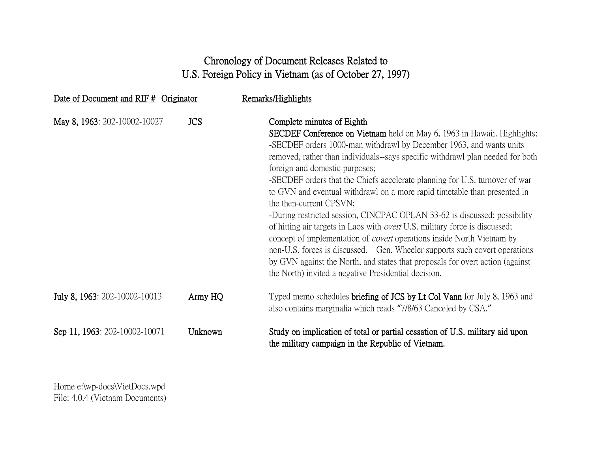## Chronology of Document Releases Related to U.S. Foreign Policy in Vietnam (as of October 27, 1997)

| Date of Document and RIF # Originator |            | Remarks/Highlights                                                                                                                                                                                                                                                                                                                                                                                                                                                                                                                                                                                                                                                                                                                                                                                                                                                                                                                                                        |
|---------------------------------------|------------|---------------------------------------------------------------------------------------------------------------------------------------------------------------------------------------------------------------------------------------------------------------------------------------------------------------------------------------------------------------------------------------------------------------------------------------------------------------------------------------------------------------------------------------------------------------------------------------------------------------------------------------------------------------------------------------------------------------------------------------------------------------------------------------------------------------------------------------------------------------------------------------------------------------------------------------------------------------------------|
| May 8, 1963: 202-10002-10027          | <b>JCS</b> | Complete minutes of Eighth<br><b>SECDEF Conference on Vietnam</b> held on May 6, 1963 in Hawaii. Highlights:<br>-SECDEF orders 1000-man withdrawl by December 1963, and wants units<br>removed, rather than individuals-says specific withdrawl plan needed for both<br>foreign and domestic purposes;<br>-SECDEF orders that the Chiefs accelerate planning for U.S. turnover of war<br>to GVN and eventual withdrawl on a more rapid timetable than presented in<br>the then-current CPSVN;<br>-During restricted session, CINCPAC OPLAN 33-62 is discussed; possibility<br>of hitting air targets in Laos with <i>overt</i> U.S. military force is discussed;<br>concept of implementation of <i>covert</i> operations inside North Vietnam by<br>non-U.S. forces is discussed. Gen. Wheeler supports such covert operations<br>by GVN against the North, and states that proposals for overt action (against)<br>the North) invited a negative Presidential decision. |
| July 8, 1963: 202-10002-10013         | Army HQ    | Typed memo schedules <b>briefing of JCS by Lt Col Vann</b> for July 8, 1963 and<br>also contains marginalia which reads "7/8/63 Canceled by CSA."                                                                                                                                                                                                                                                                                                                                                                                                                                                                                                                                                                                                                                                                                                                                                                                                                         |
| Sep 11, 1963: 202-10002-10071         | Unknown    | Study on implication of total or partial cessation of U.S. military aid upon<br>the military campaign in the Republic of Vietnam.                                                                                                                                                                                                                                                                                                                                                                                                                                                                                                                                                                                                                                                                                                                                                                                                                                         |

Horne e:\wp-docs\VietDocs.wpd File: 4.0.4 (Vietnam Documents)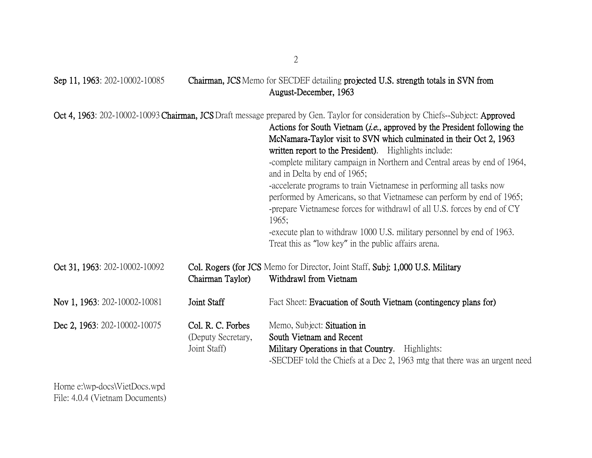| Sep 11, 1963: 202-10002-10085 |                                                         | Chairman, JCS Memo for SECDEF detailing projected U.S. strength totals in SVN from<br>August-December, 1963                                                                                                                                                                                                                                                                                                                                                                                                                                                                                                                                                                                                                                                                                                                               |
|-------------------------------|---------------------------------------------------------|-------------------------------------------------------------------------------------------------------------------------------------------------------------------------------------------------------------------------------------------------------------------------------------------------------------------------------------------------------------------------------------------------------------------------------------------------------------------------------------------------------------------------------------------------------------------------------------------------------------------------------------------------------------------------------------------------------------------------------------------------------------------------------------------------------------------------------------------|
|                               |                                                         | Oct 4, 1963: 202-10002-10093 Chairman, JCS Draft message prepared by Gen. Taylor for consideration by Chiefs--Subject: Approved<br>Actions for South Vietnam ( <i>i.e.</i> , approved by the President following the<br>McNamara-Taylor visit to SVN which culminated in their Oct 2, 1963<br>written report to the President). Highlights include:<br>-complete military campaign in Northern and Central areas by end of 1964,<br>and in Delta by end of 1965;<br>-accelerate programs to train Vietnamese in performing all tasks now<br>performed by Americans, so that Vietnamese can perform by end of 1965;<br>-prepare Vietnamese forces for withdrawl of all U.S. forces by end of CY<br>1965;<br>-execute plan to withdraw 1000 U.S. military personnel by end of 1963.<br>Treat this as "low key" in the public affairs arena. |
| Oct 31, 1963: 202-10002-10092 | Chairman Taylor)                                        | Col. Rogers (for JCS Memo for Director, Joint Staff, Subj: 1,000 U.S. Military<br>Withdrawl from Vietnam                                                                                                                                                                                                                                                                                                                                                                                                                                                                                                                                                                                                                                                                                                                                  |
| Nov 1, 1963: 202-10002-10081  | Joint Staff                                             | Fact Sheet: Evacuation of South Vietnam (contingency plans for)                                                                                                                                                                                                                                                                                                                                                                                                                                                                                                                                                                                                                                                                                                                                                                           |
| Dec 2, 1963: 202-10002-10075  | Col. R. C. Forbes<br>(Deputy Secretary,<br>Joint Staff) | Memo, Subject: Situation in<br>South Vietnam and Recent<br>Military Operations in that Country. Highlights:<br>-SECDEF told the Chiefs at a Dec 2, 1963 mtg that there was an urgent need                                                                                                                                                                                                                                                                                                                                                                                                                                                                                                                                                                                                                                                 |

Horne e:\wp-docs\VietDocs.wpd File: 4.0.4 (Vietnam Documents)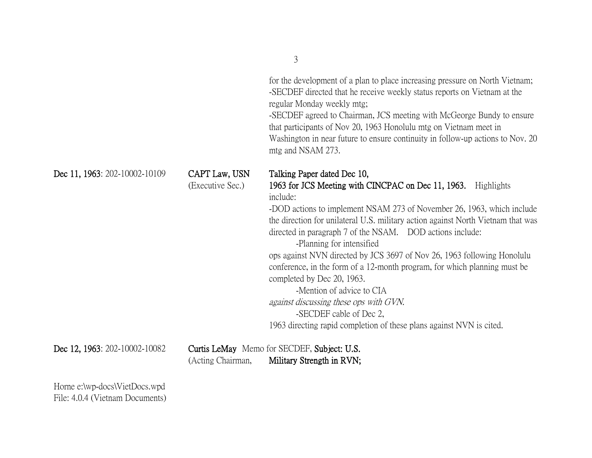|                                                                  |                                   | $\mathcal{L}$                                                                                                                                                                                                                                                                                                                                                                                                                                                                                                                                                                                                                                                                                                                    |
|------------------------------------------------------------------|-----------------------------------|----------------------------------------------------------------------------------------------------------------------------------------------------------------------------------------------------------------------------------------------------------------------------------------------------------------------------------------------------------------------------------------------------------------------------------------------------------------------------------------------------------------------------------------------------------------------------------------------------------------------------------------------------------------------------------------------------------------------------------|
|                                                                  |                                   | for the development of a plan to place increasing pressure on North Vietnam;<br>-SECDEF directed that he receive weekly status reports on Vietnam at the<br>regular Monday weekly mtg;<br>-SECDEF agreed to Chairman, JCS meeting with McGeorge Bundy to ensure<br>that participants of Nov 20, 1963 Honolulu mtg on Vietnam meet in<br>Washington in near future to ensure continuity in follow-up actions to Nov. 20<br>mtg and NSAM 273.                                                                                                                                                                                                                                                                                      |
| Dec 11, 1963: 202-10002-10109                                    | CAPT Law, USN<br>(Executive Sec.) | Talking Paper dated Dec 10,<br>1963 for JCS Meeting with CINCPAC on Dec 11, 1963. Highlights<br>include:<br>-DOD actions to implement NSAM 273 of November 26, 1963, which include<br>the direction for unilateral U.S. military action against North Vietnam that was<br>directed in paragraph 7 of the NSAM. DOD actions include:<br>-Planning for intensified<br>ops against NVN directed by JCS 3697 of Nov 26, 1963 following Honolulu<br>conference, in the form of a 12-month program, for which planning must be<br>completed by Dec 20, 1963.<br>-Mention of advice to CIA<br>against discussing these ops with GVN.<br>-SECDEF cable of Dec 2,<br>1963 directing rapid completion of these plans against NVN is cited. |
| Dec 12, 1963: 202-10002-10082                                    | (Acting Chairman,                 | Curtis LeMay Memo for SECDEF, Subject: U.S.<br>Military Strength in RVN;                                                                                                                                                                                                                                                                                                                                                                                                                                                                                                                                                                                                                                                         |
| Horne e:\wp-docs\VietDocs.wpd<br>File: 4.0.4 (Vietnam Documents) |                                   |                                                                                                                                                                                                                                                                                                                                                                                                                                                                                                                                                                                                                                                                                                                                  |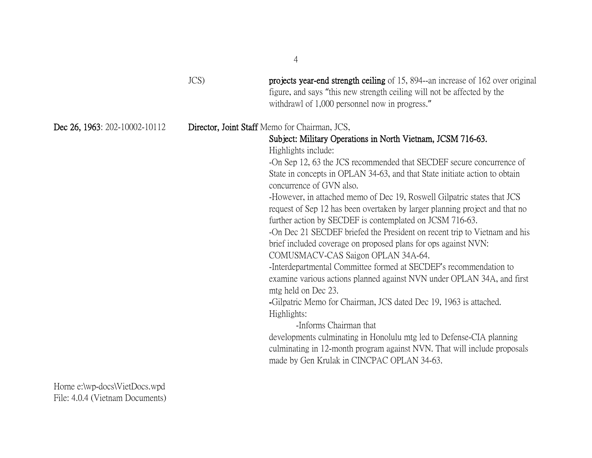|                               | $JCS$ ) | projects year-end strength ceiling of 15, 894--an increase of 162 over original<br>figure, and says "this new strength ceiling will not be affected by the<br>withdrawl of 1,000 personnel now in progress."                                                                                                                                                                                                                                                                                                                                                                                                                                                                                                                                                                                                                                                                                                                                                                                                                                                                                                                                                                                                           |
|-------------------------------|---------|------------------------------------------------------------------------------------------------------------------------------------------------------------------------------------------------------------------------------------------------------------------------------------------------------------------------------------------------------------------------------------------------------------------------------------------------------------------------------------------------------------------------------------------------------------------------------------------------------------------------------------------------------------------------------------------------------------------------------------------------------------------------------------------------------------------------------------------------------------------------------------------------------------------------------------------------------------------------------------------------------------------------------------------------------------------------------------------------------------------------------------------------------------------------------------------------------------------------|
| Dec 26, 1963: 202-10002-10112 |         | Director, Joint Staff Memo for Chairman, JCS,<br>Subject: Military Operations in North Vietnam, JCSM 716-63.<br>Highlights include:<br>-On Sep 12, 63 the JCS recommended that SECDEF secure concurrence of<br>State in concepts in OPLAN 34-63, and that State initiate action to obtain<br>concurrence of GVN also.<br>-However, in attached memo of Dec 19, Roswell Gilpatric states that JCS<br>request of Sep 12 has been overtaken by larger planning project and that no<br>further action by SECDEF is contemplated on JCSM 716-63.<br>-On Dec 21 SECDEF briefed the President on recent trip to Vietnam and his<br>brief included coverage on proposed plans for ops against NVN:<br>COMUSMACV-CAS Saigon OPLAN 34A-64.<br>-Interdepartmental Committee formed at SECDEF's recommendation to<br>examine various actions planned against NVN under OPLAN 34A, and first<br>mtg held on Dec 23.<br>-Gilpatric Memo for Chairman, JCS dated Dec 19, 1963 is attached.<br>Highlights:<br>-Informs Chairman that<br>developments culminating in Honolulu mtg led to Defense-CIA planning<br>culminating in 12-month program against NVN. That will include proposals<br>made by Gen Krulak in CINCPAC OPLAN 34-63. |

Horne e:\wp-docs\VietDocs.wpd File: 4.0.4 (Vietnam Documents)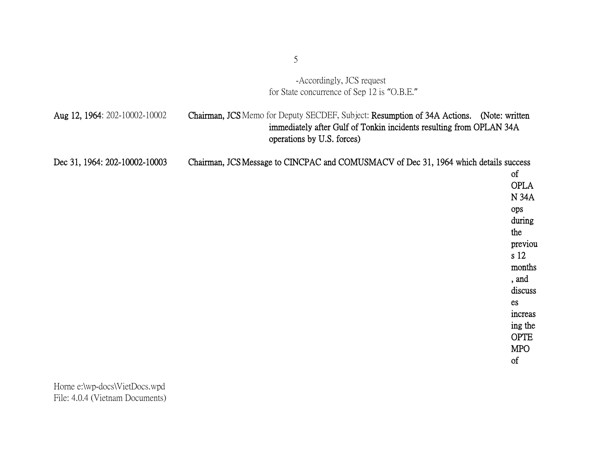-Accordingly, JCS request for State concurrence of Sep 12 is "O.B.E."

| Aug 12, 1964: 202-10002-10002 | <b>Chairman, JCS</b> Memo for Deputy SECDEF, Subject: Resumption of 34A Actions. (Note: written |
|-------------------------------|-------------------------------------------------------------------------------------------------|
|                               | immediately after Gulf of Tonkin incidents resulting from OPLAN 34A                             |
|                               | operations by U.S. forces)                                                                      |
| Dec 31, 1964: 202-10002-10003 | Chairman, JCS Message to CINCPAC and COMUSMACV of Dec 31, 1964 which details success            |
|                               | 0Ť                                                                                              |

OPLA N 34A ops during the previou s 12 months , and discuss es increas ing the OPTE MPO of

Horne e:\wp-docs\VietDocs.wpd File: 4.0.4 (Vietnam Documents)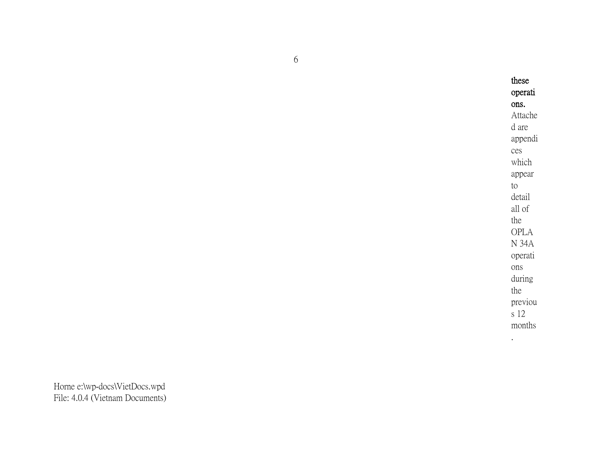these operati ons. Attache d are appendi ces which appear to detail all of the OPLA N 34A operati ons during the previou s 12 months .

6

Horne e:\wp-docs\VietDocs.wpd File: 4.0.4 (Vietnam Documents)